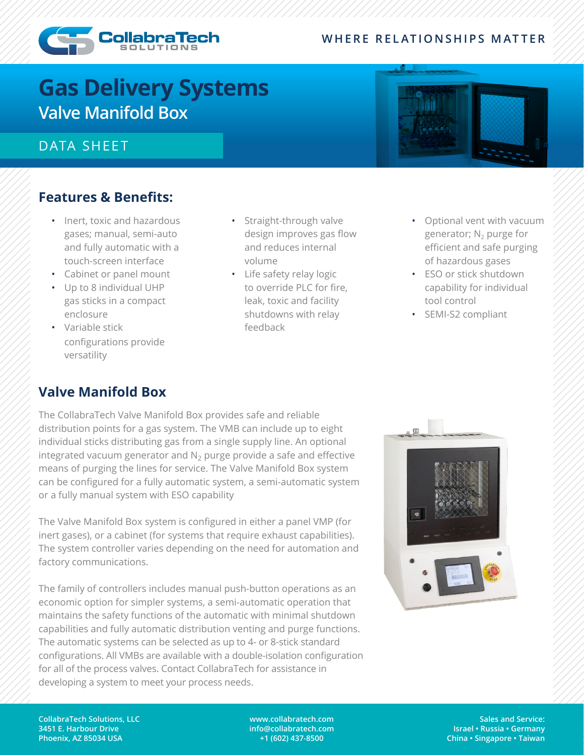#### **WHERE RELATIONSHIPS MATTER**



# **Gas Delivery Systems Valve Manifold Box**

## DATA SHEET

### **Features & Benefits:**

- Inert, toxic and hazardous gases; manual, semi-auto and fully automatic with a touch-screen interface
- Cabinet or panel mount
- Up to 8 individual UHP gas sticks in a compact enclosure
- Variable stick configurations provide versatility
- Straight-through valve design improves gas flow and reduces internal volume
- Life safety relay logic to override PLC for fire, leak, toxic and facility shutdowns with relay feedback
- Optional vent with vacuum generator;  $N_2$  purge for efficient and safe purging of hazardous gases
- ESO or stick shutdown capability for individual tool control
- SEMI-S2 compliant

# **Valve Manifold Box**

The CollabraTech Valve Manifold Box provides safe and reliable distribution points for a gas system. The VMB can include up to eight individual sticks distributing gas from a single supply line. An optional integrated vacuum generator and  $N_2$  purge provide a safe and effective means of purging the lines for service. The Valve Manifold Box system can be configured for a fully automatic system, a semi-automatic system or a fully manual system with ESO capability

The Valve Manifold Box system is configured in either a panel VMP (for inert gases), or a cabinet (for systems that require exhaust capabilities). The system controller varies depending on the need for automation and factory communications.

The family of controllers includes manual push-button operations as an economic option for simpler systems, a semi-automatic operation that maintains the safety functions of the automatic with minimal shutdown capabilities and fully automatic distribution venting and purge functions. The automatic systems can be selected as up to 4- or 8-stick standard configurations. All VMBs are available with a double-isolation configuration for all of the process valves. Contact CollabraTech for assistance in developing a system to meet your process needs.



**CollabraTech Solutions, LLC 3451 E. Harbour Drive Phoenix, AZ 85034 USA**

**www.collabratech.com info@collabratech.com +1 (602) 437-8500**

**Sales and Service: Israel • Russia • Germany China • Singapore • Taiwan**